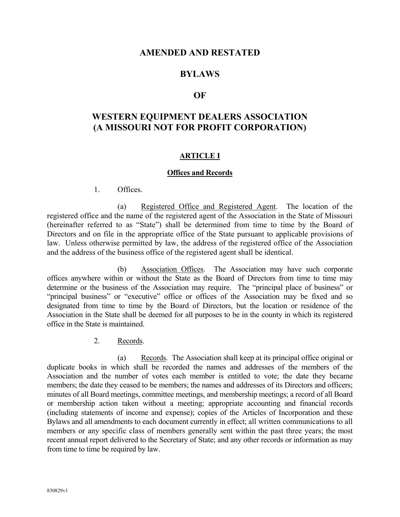# **AMENDED AND RESTATED**

# **BYLAWS**

#### **OF**

# **WESTERN EQUIPMENT DEALERS ASSOCIATION (A MISSOURI NOT FOR PROFIT CORPORATION)**

#### **ARTICLE I**

#### **Offices and Records**

1. Offices.

(a) Registered Office and Registered Agent. The location of the registered office and the name of the registered agent of the Association in the State of Missouri (hereinafter referred to as "State") shall be determined from time to time by the Board of Directors and on file in the appropriate office of the State pursuant to applicable provisions of law. Unless otherwise permitted by law, the address of the registered office of the Association and the address of the business office of the registered agent shall be identical.

(b) Association Offices. The Association may have such corporate offices anywhere within or without the State as the Board of Directors from time to time may determine or the business of the Association may require. The "principal place of business" or "principal business" or "executive" office or offices of the Association may be fixed and so designated from time to time by the Board of Directors, but the location or residence of the Association in the State shall be deemed for all purposes to be in the county in which its registered office in the State is maintained.

2. Records.

(a) Records. The Association shall keep at its principal office original or duplicate books in which shall be recorded the names and addresses of the members of the Association and the number of votes each member is entitled to vote; the date they became members; the date they ceased to be members; the names and addresses of its Directors and officers; minutes of all Board meetings, committee meetings, and membership meetings; a record of all Board or membership action taken without a meeting; appropriate accounting and financial records (including statements of income and expense); copies of the Articles of Incorporation and these Bylaws and all amendments to each document currently in effect; all written communications to all members or any specific class of members generally sent within the past three years; the most recent annual report delivered to the Secretary of State; and any other records or information as may from time to time be required by law.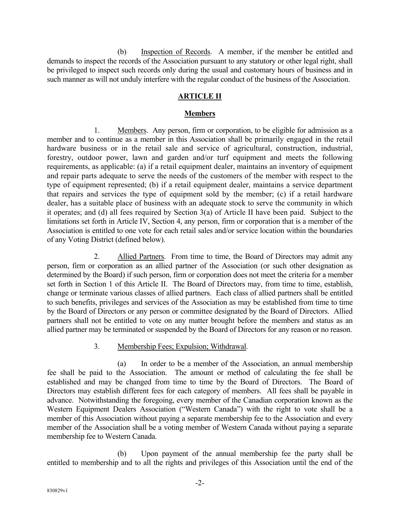(b) Inspection of Records. A member, if the member be entitled and demands to inspect the records of the Association pursuant to any statutory or other legal right, shall be privileged to inspect such records only during the usual and customary hours of business and in such manner as will not unduly interfere with the regular conduct of the business of the Association.

# **ARTICLE II**

### **Members**

1. Members. Any person, firm or corporation, to be eligible for admission as a member and to continue as a member in this Association shall be primarily engaged in the retail hardware business or in the retail sale and service of agricultural, construction, industrial, forestry, outdoor power, lawn and garden and/or turf equipment and meets the following requirements, as applicable: (a) if a retail equipment dealer, maintains an inventory of equipment and repair parts adequate to serve the needs of the customers of the member with respect to the type of equipment represented; (b) if a retail equipment dealer, maintains a service department that repairs and services the type of equipment sold by the member; (c) if a retail hardware dealer, has a suitable place of business with an adequate stock to serve the community in which it operates; and (d) all fees required by Section 3(a) of Article II have been paid. Subject to the limitations set forth in Article IV, Section 4, any person, firm or corporation that is a member of the Association is entitled to one vote for each retail sales and/or service location within the boundaries of any Voting District (defined below).

2. Allied Partners. From time to time, the Board of Directors may admit any person, firm or corporation as an allied partner of the Association (or such other designation as determined by the Board) if such person, firm or corporation does not meet the criteria for a member set forth in Section 1 of this Article II. The Board of Directors may, from time to time, establish, change or terminate various classes of allied partners. Each class of allied partners shall be entitled to such benefits, privileges and services of the Association as may be established from time to time by the Board of Directors or any person or committee designated by the Board of Directors. Allied partners shall not be entitled to vote on any matter brought before the members and status as an allied partner may be terminated or suspended by the Board of Directors for any reason or no reason.

#### 3. Membership Fees; Expulsion; Withdrawal.

(a) In order to be a member of the Association, an annual membership fee shall be paid to the Association. The amount or method of calculating the fee shall be established and may be changed from time to time by the Board of Directors. The Board of Directors may establish different fees for each category of members. All fees shall be payable in advance. Notwithstanding the foregoing, every member of the Canadian corporation known as the Western Equipment Dealers Association ("Western Canada") with the right to vote shall be a member of this Association without paying a separate membership fee to the Association and every member of the Association shall be a voting member of Western Canada without paying a separate membership fee to Western Canada.

(b) Upon payment of the annual membership fee the party shall be entitled to membership and to all the rights and privileges of this Association until the end of the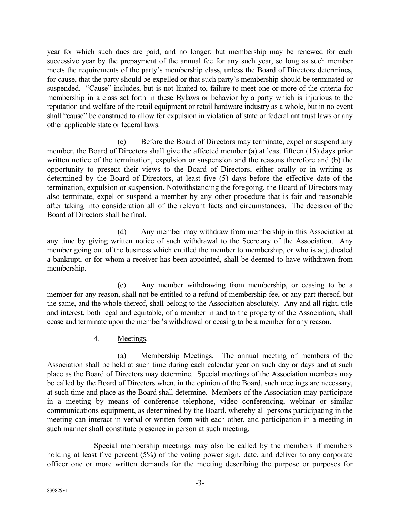year for which such dues are paid, and no longer; but membership may be renewed for each successive year by the prepayment of the annual fee for any such year, so long as such member meets the requirements of the party's membership class, unless the Board of Directors determines, for cause, that the party should be expelled or that such party's membership should be terminated or suspended. "Cause" includes, but is not limited to, failure to meet one or more of the criteria for membership in a class set forth in these Bylaws or behavior by a party which is injurious to the reputation and welfare of the retail equipment or retail hardware industry as a whole, but in no event shall "cause" be construed to allow for expulsion in violation of state or federal antitrust laws or any other applicable state or federal laws.

(c) Before the Board of Directors may terminate, expel or suspend any member, the Board of Directors shall give the affected member (a) at least fifteen (15) days prior written notice of the termination, expulsion or suspension and the reasons therefore and (b) the opportunity to present their views to the Board of Directors, either orally or in writing as determined by the Board of Directors, at least five (5) days before the effective date of the termination, expulsion or suspension. Notwithstanding the foregoing, the Board of Directors may also terminate, expel or suspend a member by any other procedure that is fair and reasonable after taking into consideration all of the relevant facts and circumstances. The decision of the Board of Directors shall be final.

(d) Any member may withdraw from membership in this Association at any time by giving written notice of such withdrawal to the Secretary of the Association. Any member going out of the business which entitled the member to membership, or who is adjudicated a bankrupt, or for whom a receiver has been appointed, shall be deemed to have withdrawn from membership.

(e) Any member withdrawing from membership, or ceasing to be a member for any reason, shall not be entitled to a refund of membership fee, or any part thereof, but the same, and the whole thereof, shall belong to the Association absolutely. Any and all right, title and interest, both legal and equitable, of a member in and to the property of the Association, shall cease and terminate upon the member's withdrawal or ceasing to be a member for any reason.

4. Meetings.

(a) Membership Meetings. The annual meeting of members of the Association shall be held at such time during each calendar year on such day or days and at such place as the Board of Directors may determine. Special meetings of the Association members may be called by the Board of Directors when, in the opinion of the Board, such meetings are necessary, at such time and place as the Board shall determine. Members of the Association may participate in a meeting by means of conference telephone, video conferencing, webinar or similar communications equipment, as determined by the Board, whereby all persons participating in the meeting can interact in verbal or written form with each other, and participation in a meeting in such manner shall constitute presence in person at such meeting.

Special membership meetings may also be called by the members if members holding at least five percent (5%) of the voting power sign, date, and deliver to any corporate officer one or more written demands for the meeting describing the purpose or purposes for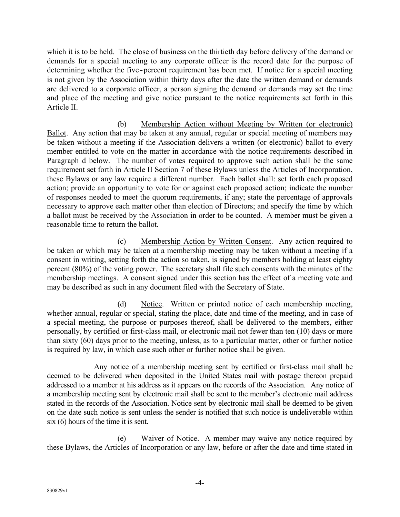which it is to be held. The close of business on the thirtieth day before delivery of the demand or demands for a special meeting to any corporate officer is the record date for the purpose of determining whether the five-percent requirement has been met. If notice for a special meeting is not given by the Association within thirty days after the date the written demand or demands are delivered to a corporate officer, a person signing the demand or demands may set the time and place of the meeting and give notice pursuant to the notice requirements set forth in this Article II.

(b) Membership Action without Meeting by Written (or electronic) Ballot. Any action that may be taken at any annual, regular or special meeting of members may be taken without a meeting if the Association delivers a written (or electronic) ballot to every member entitled to vote on the matter in accordance with the notice requirements described in Paragraph d below. The number of votes required to approve such action shall be the same requirement set forth in Article II Section 7 of these Bylaws unless the Articles of Incorporation, these Bylaws or any law require a different number. Each ballot shall: set forth each proposed action; provide an opportunity to vote for or against each proposed action; indicate the number of responses needed to meet the quorum requirements, if any; state the percentage of approvals necessary to approve each matter other than election of Directors; and specify the time by which a ballot must be received by the Association in order to be counted. A member must be given a reasonable time to return the ballot.

(c) Membership Action by Written Consent. Any action required to be taken or which may be taken at a membership meeting may be taken without a meeting if a consent in writing, setting forth the action so taken, is signed by members holding at least eighty percent (80%) of the voting power. The secretary shall file such consents with the minutes of the membership meetings. A consent signed under this section has the effect of a meeting vote and may be described as such in any document filed with the Secretary of State.

(d) Notice. Written or printed notice of each membership meeting, whether annual, regular or special, stating the place, date and time of the meeting, and in case of a special meeting, the purpose or purposes thereof, shall be delivered to the members, either personally, by certified or first-class mail, or electronic mail not fewer than ten (10) days or more than sixty (60) days prior to the meeting, unless, as to a particular matter, other or further notice is required by law, in which case such other or further notice shall be given.

Any notice of a membership meeting sent by certified or first-class mail shall be deemed to be delivered when deposited in the United States mail with postage thereon prepaid addressed to a member at his address as it appears on the records of the Association. Any notice of a membership meeting sent by electronic mail shall be sent to the member's electronic mail address stated in the records of the Association. Notice sent by electronic mail shall be deemed to be given on the date such notice is sent unless the sender is notified that such notice is undeliverable within six (6) hours of the time it is sent.

(e) Waiver of Notice. A member may waive any notice required by these Bylaws, the Articles of Incorporation or any law, before or after the date and time stated in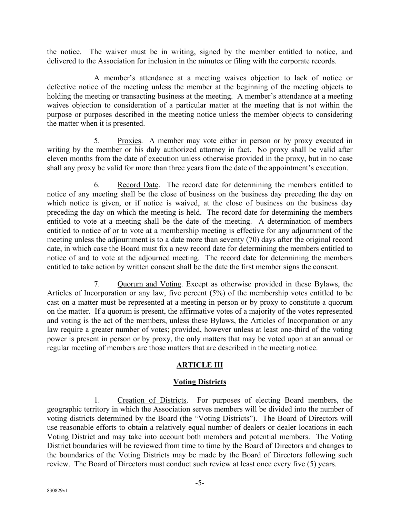the notice. The waiver must be in writing, signed by the member entitled to notice, and delivered to the Association for inclusion in the minutes or filing with the corporate records.

A member's attendance at a meeting waives objection to lack of notice or defective notice of the meeting unless the member at the beginning of the meeting objects to holding the meeting or transacting business at the meeting. A member's attendance at a meeting waives objection to consideration of a particular matter at the meeting that is not within the purpose or purposes described in the meeting notice unless the member objects to considering the matter when it is presented.

5. Proxies. A member may vote either in person or by proxy executed in writing by the member or his duly authorized attorney in fact. No proxy shall be valid after eleven months from the date of execution unless otherwise provided in the proxy, but in no case shall any proxy be valid for more than three years from the date of the appointment's execution.

6. Record Date. The record date for determining the members entitled to notice of any meeting shall be the close of business on the business day preceding the day on which notice is given, or if notice is waived, at the close of business on the business day preceding the day on which the meeting is held. The record date for determining the members entitled to vote at a meeting shall be the date of the meeting. A determination of members entitled to notice of or to vote at a membership meeting is effective for any adjournment of the meeting unless the adjournment is to a date more than seventy (70) days after the original record date, in which case the Board must fix a new record date for determining the members entitled to notice of and to vote at the adjourned meeting. The record date for determining the members entitled to take action by written consent shall be the date the first member signs the consent.

7. Quorum and Voting. Except as otherwise provided in these Bylaws, the Articles of Incorporation or any law, five percent (5%) of the membership votes entitled to be cast on a matter must be represented at a meeting in person or by proxy to constitute a quorum on the matter. If a quorum is present, the affirmative votes of a majority of the votes represented and voting is the act of the members, unless these Bylaws, the Articles of Incorporation or any law require a greater number of votes; provided, however unless at least one-third of the voting power is present in person or by proxy, the only matters that may be voted upon at an annual or regular meeting of members are those matters that are described in the meeting notice.

# **ARTICLE III**

# **Voting Districts**

1. Creation of Districts. For purposes of electing Board members, the geographic territory in which the Association serves members will be divided into the number of voting districts determined by the Board (the "Voting Districts"). The Board of Directors will use reasonable efforts to obtain a relatively equal number of dealers or dealer locations in each Voting District and may take into account both members and potential members. The Voting District boundaries will be reviewed from time to time by the Board of Directors and changes to the boundaries of the Voting Districts may be made by the Board of Directors following such review. The Board of Directors must conduct such review at least once every five (5) years.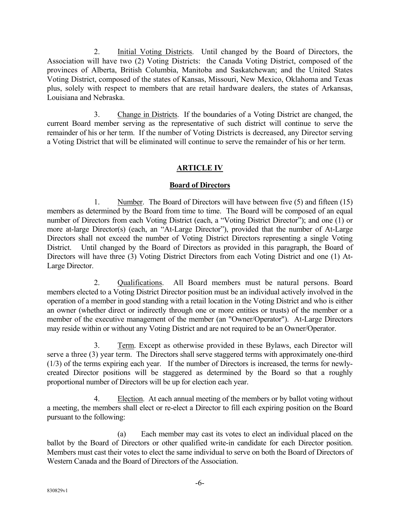2. Initial Voting Districts. Until changed by the Board of Directors, the Association will have two (2) Voting Districts: the Canada Voting District, composed of the provinces of Alberta, British Columbia, Manitoba and Saskatchewan; and the United States Voting District, composed of the states of Kansas, Missouri, New Mexico, Oklahoma and Texas plus, solely with respect to members that are retail hardware dealers, the states of Arkansas, Louisiana and Nebraska.

3. Change in Districts. If the boundaries of a Voting District are changed, the current Board member serving as the representative of such district will continue to serve the remainder of his or her term. If the number of Voting Districts is decreased, any Director serving a Voting District that will be eliminated will continue to serve the remainder of his or her term.

# **ARTICLE IV**

# **Board of Directors**

1. Number. The Board of Directors will have between five (5) and fifteen (15) members as determined by the Board from time to time. The Board will be composed of an equal number of Directors from each Voting District (each, a "Voting District Director"); and one (1) or more at-large Director(s) (each, an "At-Large Director"), provided that the number of At-Large Directors shall not exceed the number of Voting District Directors representing a single Voting District. Until changed by the Board of Directors as provided in this paragraph, the Board of Directors will have three (3) Voting District Directors from each Voting District and one (1) At-Large Director.

2. Qualifications. All Board members must be natural persons. Board members elected to a Voting District Director position must be an individual actively involved in the operation of a member in good standing with a retail location in the Voting District and who is either an owner (whether direct or indirectly through one or more entities or trusts) of the member or a member of the executive management of the member (an "Owner/Operator"). At-Large Directors may reside within or without any Voting District and are not required to be an Owner/Operator.

3. Term. Except as otherwise provided in these Bylaws, each Director will serve a three (3) year term. The Directors shall serve staggered terms with approximately one-third (1/3) of the terms expiring each year. If the number of Directors is increased, the terms for newlycreated Director positions will be staggered as determined by the Board so that a roughly proportional number of Directors will be up for election each year.

4. Election. At each annual meeting of the members or by ballot voting without a meeting, the members shall elect or re-elect a Director to fill each expiring position on the Board pursuant to the following:

(a) Each member may cast its votes to elect an individual placed on the ballot by the Board of Directors or other qualified write-in candidate for each Director position. Members must cast their votes to elect the same individual to serve on both the Board of Directors of Western Canada and the Board of Directors of the Association.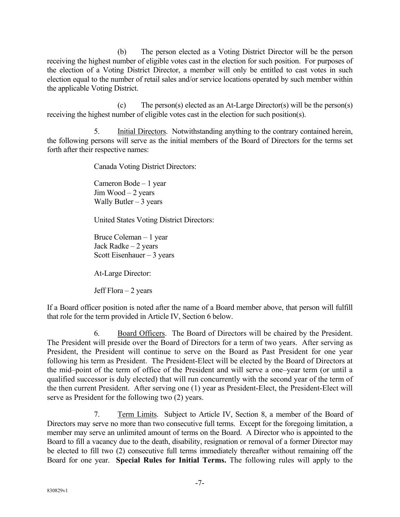(b) The person elected as a Voting District Director will be the person receiving the highest number of eligible votes cast in the election for such position. For purposes of the election of a Voting District Director, a member will only be entitled to cast votes in such election equal to the number of retail sales and/or service locations operated by such member within the applicable Voting District.

(c) The person(s) elected as an At-Large Director(s) will be the person(s) receiving the highest number of eligible votes cast in the election for such position(s).

5. Initial Directors. Notwithstanding anything to the contrary contained herein, the following persons will serve as the initial members of the Board of Directors for the terms set forth after their respective names:

Canada Voting District Directors:

Cameron Bode – 1 year  $Jim Wood - 2 years$ Wally Butler  $-3$  years

United States Voting District Directors:

Bruce Coleman – 1 year Jack Radke – 2 years Scott Eisenhauer  $-3$  years

At-Large Director:

Jeff Flora  $-2$  years

If a Board officer position is noted after the name of a Board member above, that person will fulfill that role for the term provided in Article IV, Section 6 below.

6. Board Officers. The Board of Directors will be chaired by the President. The President will preside over the Board of Directors for a term of two years. After serving as President, the President will continue to serve on the Board as Past President for one year following his term as President. The President-Elect will be elected by the Board of Directors at the mid–point of the term of office of the President and will serve a one–year term (or until a qualified successor is duly elected) that will run concurrently with the second year of the term of the then current President. After serving one (1) year as President-Elect, the President-Elect will serve as President for the following two (2) years.

7. Term Limits. Subject to Article IV, Section 8, a member of the Board of Directors may serve no more than two consecutive full terms. Except for the foregoing limitation, a member may serve an unlimited amount of terms on the Board. A Director who is appointed to the Board to fill a vacancy due to the death, disability, resignation or removal of a former Director may be elected to fill two (2) consecutive full terms immediately thereafter without remaining off the Board for one year. **Special Rules for Initial Terms.** The following rules will apply to the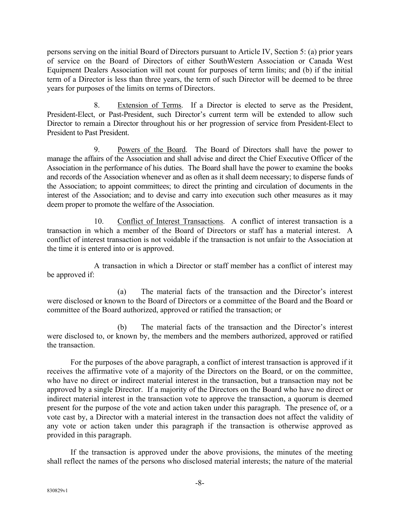persons serving on the initial Board of Directors pursuant to Article IV, Section 5: (a) prior years of service on the Board of Directors of either SouthWestern Association or Canada West Equipment Dealers Association will not count for purposes of term limits; and (b) if the initial term of a Director is less than three years, the term of such Director will be deemed to be three years for purposes of the limits on terms of Directors.

8. Extension of Terms. If a Director is elected to serve as the President, President-Elect, or Past-President, such Director's current term will be extended to allow such Director to remain a Director throughout his or her progression of service from President-Elect to President to Past President.

9. Powers of the Board. The Board of Directors shall have the power to manage the affairs of the Association and shall advise and direct the Chief Executive Officer of the Association in the performance of his duties. The Board shall have the power to examine the books and records of the Association whenever and as often as it shall deem necessary; to disperse funds of the Association; to appoint committees; to direct the printing and circulation of documents in the interest of the Association; and to devise and carry into execution such other measures as it may deem proper to promote the welfare of the Association.

10. Conflict of Interest Transactions. A conflict of interest transaction is a transaction in which a member of the Board of Directors or staff has a material interest. A conflict of interest transaction is not voidable if the transaction is not unfair to the Association at the time it is entered into or is approved.

A transaction in which a Director or staff member has a conflict of interest may be approved if:

(a) The material facts of the transaction and the Director's interest were disclosed or known to the Board of Directors or a committee of the Board and the Board or committee of the Board authorized, approved or ratified the transaction; or

(b) The material facts of the transaction and the Director's interest were disclosed to, or known by, the members and the members authorized, approved or ratified the transaction.

For the purposes of the above paragraph, a conflict of interest transaction is approved if it receives the affirmative vote of a majority of the Directors on the Board, or on the committee, who have no direct or indirect material interest in the transaction, but a transaction may not be approved by a single Director. If a majority of the Directors on the Board who have no direct or indirect material interest in the transaction vote to approve the transaction, a quorum is deemed present for the purpose of the vote and action taken under this paragraph. The presence of, or a vote cast by, a Director with a material interest in the transaction does not affect the validity of any vote or action taken under this paragraph if the transaction is otherwise approved as provided in this paragraph.

If the transaction is approved under the above provisions, the minutes of the meeting shall reflect the names of the persons who disclosed material interests; the nature of the material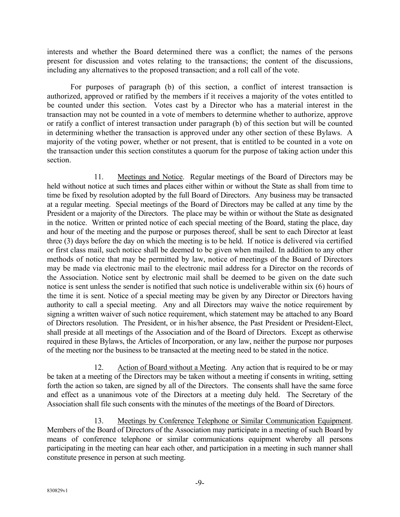interests and whether the Board determined there was a conflict; the names of the persons present for discussion and votes relating to the transactions; the content of the discussions, including any alternatives to the proposed transaction; and a roll call of the vote.

For purposes of paragraph (b) of this section, a conflict of interest transaction is authorized, approved or ratified by the members if it receives a majority of the votes entitled to be counted under this section. Votes cast by a Director who has a material interest in the transaction may not be counted in a vote of members to determine whether to authorize, approve or ratify a conflict of interest transaction under paragraph (b) of this section but will be counted in determining whether the transaction is approved under any other section of these Bylaws. A majority of the voting power, whether or not present, that is entitled to be counted in a vote on the transaction under this section constitutes a quorum for the purpose of taking action under this section.

11. Meetings and Notice. Regular meetings of the Board of Directors may be held without notice at such times and places either within or without the State as shall from time to time be fixed by resolution adopted by the full Board of Directors. Any business may be transacted at a regular meeting. Special meetings of the Board of Directors may be called at any time by the President or a majority of the Directors. The place may be within or without the State as designated in the notice. Written or printed notice of each special meeting of the Board, stating the place, day and hour of the meeting and the purpose or purposes thereof, shall be sent to each Director at least three (3) days before the day on which the meeting is to be held. If notice is delivered via certified or first class mail, such notice shall be deemed to be given when mailed. In addition to any other methods of notice that may be permitted by law, notice of meetings of the Board of Directors may be made via electronic mail to the electronic mail address for a Director on the records of the Association. Notice sent by electronic mail shall be deemed to be given on the date such notice is sent unless the sender is notified that such notice is undeliverable within six (6) hours of the time it is sent. Notice of a special meeting may be given by any Director or Directors having authority to call a special meeting. Any and all Directors may waive the notice requirement by signing a written waiver of such notice requirement, which statement may be attached to any Board of Directors resolution. The President, or in his/her absence, the Past President or President-Elect, shall preside at all meetings of the Association and of the Board of Directors. Except as otherwise required in these Bylaws, the Articles of Incorporation, or any law, neither the purpose nor purposes of the meeting nor the business to be transacted at the meeting need to be stated in the notice.

12. Action of Board without a Meeting. Any action that is required to be or may be taken at a meeting of the Directors may be taken without a meeting if consents in writing, setting forth the action so taken, are signed by all of the Directors. The consents shall have the same force and effect as a unanimous vote of the Directors at a meeting duly held. The Secretary of the Association shall file such consents with the minutes of the meetings of the Board of Directors.

13. Meetings by Conference Telephone or Similar Communication Equipment. Members of the Board of Directors of the Association may participate in a meeting of such Board by means of conference telephone or similar communications equipment whereby all persons participating in the meeting can hear each other, and participation in a meeting in such manner shall constitute presence in person at such meeting.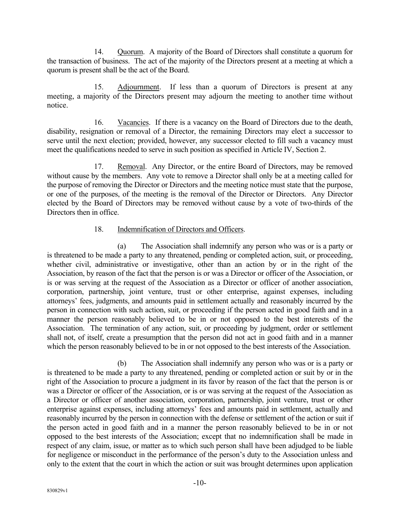14. Quorum. A majority of the Board of Directors shall constitute a quorum for the transaction of business. The act of the majority of the Directors present at a meeting at which a quorum is present shall be the act of the Board.

15. Adjournment. If less than a quorum of Directors is present at any meeting, a majority of the Directors present may adjourn the meeting to another time without notice.

16. Vacancies. If there is a vacancy on the Board of Directors due to the death, disability, resignation or removal of a Director, the remaining Directors may elect a successor to serve until the next election; provided, however, any successor elected to fill such a vacancy must meet the qualifications needed to serve in such position as specified in Article IV, Section 2.

17. Removal. Any Director, or the entire Board of Directors, may be removed without cause by the members. Any vote to remove a Director shall only be at a meeting called for the purpose of removing the Director or Directors and the meeting notice must state that the purpose, or one of the purposes, of the meeting is the removal of the Director or Directors. Any Director elected by the Board of Directors may be removed without cause by a vote of two-thirds of the Directors then in office.

# 18. Indemnification of Directors and Officers.

(a) The Association shall indemnify any person who was or is a party or is threatened to be made a party to any threatened, pending or completed action, suit, or proceeding, whether civil, administrative or investigative, other than an action by or in the right of the Association, by reason of the fact that the person is or was a Director or officer of the Association, or is or was serving at the request of the Association as a Director or officer of another association, corporation, partnership, joint venture, trust or other enterprise, against expenses, including attorneys' fees, judgments, and amounts paid in settlement actually and reasonably incurred by the person in connection with such action, suit, or proceeding if the person acted in good faith and in a manner the person reasonably believed to be in or not opposed to the best interests of the Association. The termination of any action, suit, or proceeding by judgment, order or settlement shall not, of itself, create a presumption that the person did not act in good faith and in a manner which the person reasonably believed to be in or not opposed to the best interests of the Association.

(b) The Association shall indemnify any person who was or is a party or is threatened to be made a party to any threatened, pending or completed action or suit by or in the right of the Association to procure a judgment in its favor by reason of the fact that the person is or was a Director or officer of the Association, or is or was serving at the request of the Association as a Director or officer of another association, corporation, partnership, joint venture, trust or other enterprise against expenses, including attorneys' fees and amounts paid in settlement, actually and reasonably incurred by the person in connection with the defense or settlement of the action or suit if the person acted in good faith and in a manner the person reasonably believed to be in or not opposed to the best interests of the Association; except that no indemnification shall be made in respect of any claim, issue, or matter as to which such person shall have been adjudged to be liable for negligence or misconduct in the performance of the person's duty to the Association unless and only to the extent that the court in which the action or suit was brought determines upon application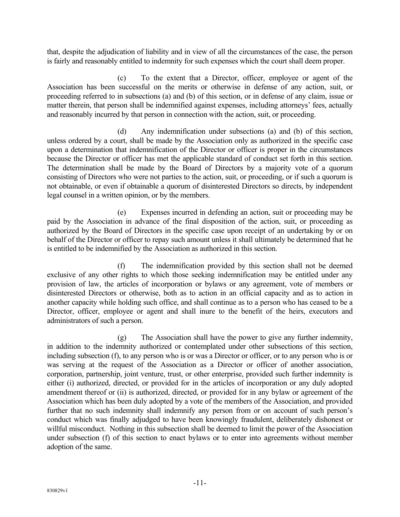that, despite the adjudication of liability and in view of all the circumstances of the case, the person is fairly and reasonably entitled to indemnity for such expenses which the court shall deem proper.

(c) To the extent that a Director, officer, employee or agent of the Association has been successful on the merits or otherwise in defense of any action, suit, or proceeding referred to in subsections (a) and (b) of this section, or in defense of any claim, issue or matter therein, that person shall be indemnified against expenses, including attorneys' fees, actually and reasonably incurred by that person in connection with the action, suit, or proceeding.

(d) Any indemnification under subsections (a) and (b) of this section, unless ordered by a court, shall be made by the Association only as authorized in the specific case upon a determination that indemnification of the Director or officer is proper in the circumstances because the Director or officer has met the applicable standard of conduct set forth in this section. The determination shall be made by the Board of Directors by a majority vote of a quorum consisting of Directors who were not parties to the action, suit, or proceeding, or if such a quorum is not obtainable, or even if obtainable a quorum of disinterested Directors so directs, by independent legal counsel in a written opinion, or by the members.

(e) Expenses incurred in defending an action, suit or proceeding may be paid by the Association in advance of the final disposition of the action, suit, or proceeding as authorized by the Board of Directors in the specific case upon receipt of an undertaking by or on behalf of the Director or officer to repay such amount unless it shall ultimately be determined that he is entitled to be indemnified by the Association as authorized in this section.

(f) The indemnification provided by this section shall not be deemed exclusive of any other rights to which those seeking indemnification may be entitled under any provision of law, the articles of incorporation or bylaws or any agreement, vote of members or disinterested Directors or otherwise, both as to action in an official capacity and as to action in another capacity while holding such office, and shall continue as to a person who has ceased to be a Director, officer, employee or agent and shall inure to the benefit of the heirs, executors and administrators of such a person.

(g) The Association shall have the power to give any further indemnity, in addition to the indemnity authorized or contemplated under other subsections of this section, including subsection (f), to any person who is or was a Director or officer, or to any person who is or was serving at the request of the Association as a Director or officer of another association, corporation, partnership, joint venture, trust, or other enterprise, provided such further indemnity is either (i) authorized, directed, or provided for in the articles of incorporation or any duly adopted amendment thereof or (ii) is authorized, directed, or provided for in any bylaw or agreement of the Association which has been duly adopted by a vote of the members of the Association, and provided further that no such indemnity shall indemnify any person from or on account of such person's conduct which was finally adjudged to have been knowingly fraudulent, deliberately dishonest or willful misconduct. Nothing in this subsection shall be deemed to limit the power of the Association under subsection (f) of this section to enact bylaws or to enter into agreements without member adoption of the same.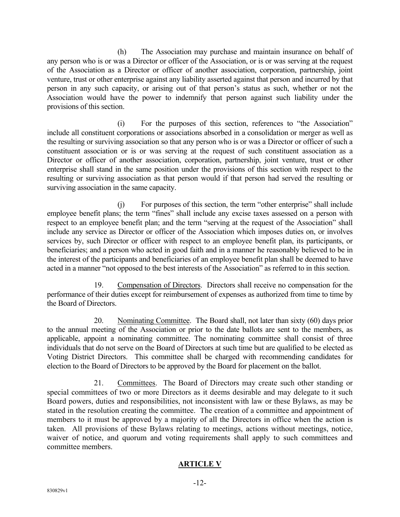(h) The Association may purchase and maintain insurance on behalf of any person who is or was a Director or officer of the Association, or is or was serving at the request of the Association as a Director or officer of another association, corporation, partnership, joint venture, trust or other enterprise against any liability asserted against that person and incurred by that person in any such capacity, or arising out of that person's status as such, whether or not the Association would have the power to indemnify that person against such liability under the provisions of this section.

(i) For the purposes of this section, references to "the Association" include all constituent corporations or associations absorbed in a consolidation or merger as well as the resulting or surviving association so that any person who is or was a Director or officer of such a constituent association or is or was serving at the request of such constituent association as a Director or officer of another association, corporation, partnership, joint venture, trust or other enterprise shall stand in the same position under the provisions of this section with respect to the resulting or surviving association as that person would if that person had served the resulting or surviving association in the same capacity.

(j) For purposes of this section, the term "other enterprise" shall include employee benefit plans; the term "fines" shall include any excise taxes assessed on a person with respect to an employee benefit plan; and the term "serving at the request of the Association" shall include any service as Director or officer of the Association which imposes duties on, or involves services by, such Director or officer with respect to an employee benefit plan, its participants, or beneficiaries; and a person who acted in good faith and in a manner he reasonably believed to be in the interest of the participants and beneficiaries of an employee benefit plan shall be deemed to have acted in a manner "not opposed to the best interests of the Association" as referred to in this section.

19. Compensation of Directors. Directors shall receive no compensation for the performance of their duties except for reimbursement of expenses as authorized from time to time by the Board of Directors.

20. Nominating Committee. The Board shall, not later than sixty (60) days prior to the annual meeting of the Association or prior to the date ballots are sent to the members, as applicable, appoint a nominating committee. The nominating committee shall consist of three individuals that do not serve on the Board of Directors at such time but are qualified to be elected as Voting District Directors. This committee shall be charged with recommending candidates for election to the Board of Directors to be approved by the Board for placement on the ballot.

21. Committees. The Board of Directors may create such other standing or special committees of two or more Directors as it deems desirable and may delegate to it such Board powers, duties and responsibilities, not inconsistent with law or these Bylaws, as may be stated in the resolution creating the committee. The creation of a committee and appointment of members to it must be approved by a majority of all the Directors in office when the action is taken. All provisions of these Bylaws relating to meetings, actions without meetings, notice, waiver of notice, and quorum and voting requirements shall apply to such committees and committee members.

# **ARTICLE V**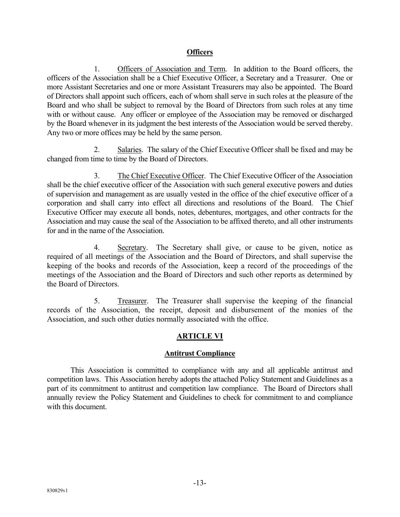### **Officers**

1. Officers of Association and Term. In addition to the Board officers, the officers of the Association shall be a Chief Executive Officer, a Secretary and a Treasurer. One or more Assistant Secretaries and one or more Assistant Treasurers may also be appointed. The Board of Directors shall appoint such officers, each of whom shall serve in such roles at the pleasure of the Board and who shall be subject to removal by the Board of Directors from such roles at any time with or without cause. Any officer or employee of the Association may be removed or discharged by the Board whenever in its judgment the best interests of the Association would be served thereby. Any two or more offices may be held by the same person.

2. Salaries. The salary of the Chief Executive Officer shall be fixed and may be changed from time to time by the Board of Directors.

3. The Chief Executive Officer. The Chief Executive Officer of the Association shall be the chief executive officer of the Association with such general executive powers and duties of supervision and management as are usually vested in the office of the chief executive officer of a corporation and shall carry into effect all directions and resolutions of the Board. The Chief Executive Officer may execute all bonds, notes, debentures, mortgages, and other contracts for the Association and may cause the seal of the Association to be affixed thereto, and all other instruments for and in the name of the Association.

4. Secretary. The Secretary shall give, or cause to be given, notice as required of all meetings of the Association and the Board of Directors, and shall supervise the keeping of the books and records of the Association, keep a record of the proceedings of the meetings of the Association and the Board of Directors and such other reports as determined by the Board of Directors.

5. Treasurer. The Treasurer shall supervise the keeping of the financial records of the Association, the receipt, deposit and disbursement of the monies of the Association, and such other duties normally associated with the office.

# **ARTICLE VI**

# **Antitrust Compliance**

This Association is committed to compliance with any and all applicable antitrust and competition laws. This Association hereby adopts the attached Policy Statement and Guidelines as a part of its commitment to antitrust and competition law compliance. The Board of Directors shall annually review the Policy Statement and Guidelines to check for commitment to and compliance with this document.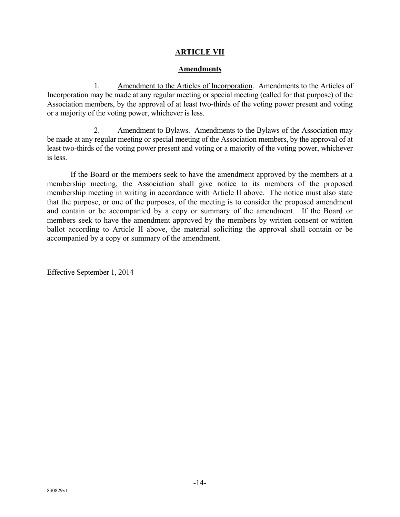# **ARTICLE VII**

### **Amendments**

1. Amendment to the Articles of Incorporation. Amendments to the Articles of Incorporation may be made at any regular meeting or special meeting (called for that purpose) of the Association members, by the approval of at least two-thirds of the voting power present and voting or a majority of the voting power, whichever is less.

2. Amendment to Bylaws. Amendments to the Bylaws of the Association may be made at any regular meeting or special meeting of the Association members, by the approval of at least two-thirds of the voting power present and voting or a majority of the voting power, whichever is less.

 If the Board or the members seek to have the amendment approved by the members at a membership meeting, the Association shall give notice to its members of the proposed membership meeting in writing in accordance with Article II above. The notice must also state that the purpose, or one of the purposes, of the meeting is to consider the proposed amendment and contain or be accompanied by a copy or summary of the amendment. If the Board or members seek to have the amendment approved by the members by written consent or written ballot according to Article II above, the material soliciting the approval shall contain or be accompanied by a copy or summary of the amendment.

Effective September 1, 2014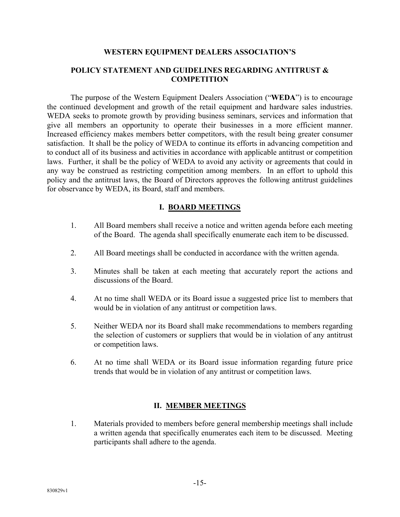#### **WESTERN EQUIPMENT DEALERS ASSOCIATION'S**

### **POLICY STATEMENT AND GUIDELINES REGARDING ANTITRUST & COMPETITION**

 The purpose of the Western Equipment Dealers Association ("**WEDA**") is to encourage the continued development and growth of the retail equipment and hardware sales industries. WEDA seeks to promote growth by providing business seminars, services and information that give all members an opportunity to operate their businesses in a more efficient manner. Increased efficiency makes members better competitors, with the result being greater consumer satisfaction. It shall be the policy of WEDA to continue its efforts in advancing competition and to conduct all of its business and activities in accordance with applicable antitrust or competition laws. Further, it shall be the policy of WEDA to avoid any activity or agreements that could in any way be construed as restricting competition among members. In an effort to uphold this policy and the antitrust laws, the Board of Directors approves the following antitrust guidelines for observance by WEDA, its Board, staff and members.

### **I. BOARD MEETINGS**

- 1. All Board members shall receive a notice and written agenda before each meeting of the Board. The agenda shall specifically enumerate each item to be discussed.
- 2. All Board meetings shall be conducted in accordance with the written agenda.
- 3. Minutes shall be taken at each meeting that accurately report the actions and discussions of the Board.
- 4. At no time shall WEDA or its Board issue a suggested price list to members that would be in violation of any antitrust or competition laws.
- 5. Neither WEDA nor its Board shall make recommendations to members regarding the selection of customers or suppliers that would be in violation of any antitrust or competition laws.
- 6. At no time shall WEDA or its Board issue information regarding future price trends that would be in violation of any antitrust or competition laws.

# **II. MEMBER MEETINGS**

1. Materials provided to members before general membership meetings shall include a written agenda that specifically enumerates each item to be discussed. Meeting participants shall adhere to the agenda.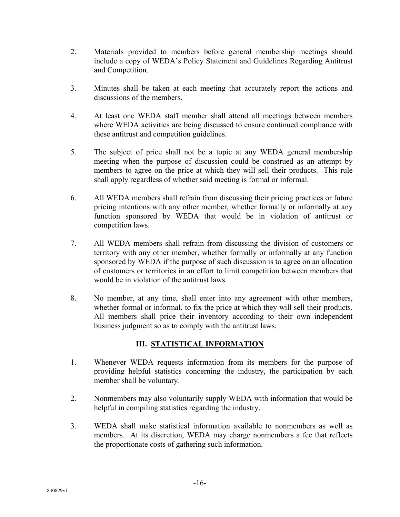- 2. Materials provided to members before general membership meetings should include a copy of WEDA's Policy Statement and Guidelines Regarding Antitrust and Competition.
- 3. Minutes shall be taken at each meeting that accurately report the actions and discussions of the members.
- 4. At least one WEDA staff member shall attend all meetings between members where WEDA activities are being discussed to ensure continued compliance with these antitrust and competition guidelines.
- 5. The subject of price shall not be a topic at any WEDA general membership meeting when the purpose of discussion could be construed as an attempt by members to agree on the price at which they will sell their products. This rule shall apply regardless of whether said meeting is formal or informal.
- 6. All WEDA members shall refrain from discussing their pricing practices or future pricing intentions with any other member, whether formally or informally at any function sponsored by WEDA that would be in violation of antitrust or competition laws.
- 7. All WEDA members shall refrain from discussing the division of customers or territory with any other member, whether formally or informally at any function sponsored by WEDA if the purpose of such discussion is to agree on an allocation of customers or territories in an effort to limit competition between members that would be in violation of the antitrust laws.
- 8. No member, at any time, shall enter into any agreement with other members, whether formal or informal, to fix the price at which they will sell their products. All members shall price their inventory according to their own independent business judgment so as to comply with the antitrust laws.

# **III. STATISTICAL INFORMATION**

- 1. Whenever WEDA requests information from its members for the purpose of providing helpful statistics concerning the industry, the participation by each member shall be voluntary.
- 2. Nonmembers may also voluntarily supply WEDA with information that would be helpful in compiling statistics regarding the industry.
- 3. WEDA shall make statistical information available to nonmembers as well as members. At its discretion, WEDA may charge nonmembers a fee that reflects the proportionate costs of gathering such information.